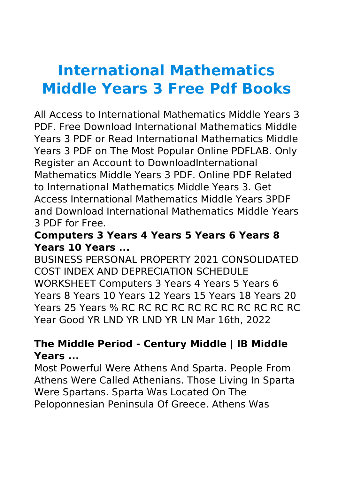# **International Mathematics Middle Years 3 Free Pdf Books**

All Access to International Mathematics Middle Years 3 PDF. Free Download International Mathematics Middle Years 3 PDF or Read International Mathematics Middle Years 3 PDF on The Most Popular Online PDFLAB. Only Register an Account to DownloadInternational Mathematics Middle Years 3 PDF. Online PDF Related to International Mathematics Middle Years 3. Get Access International Mathematics Middle Years 3PDF and Download International Mathematics Middle Years 3 PDF for Free.

#### **Computers 3 Years 4 Years 5 Years 6 Years 8 Years 10 Years ...**

BUSINESS PERSONAL PROPERTY 2021 CONSOLIDATED COST INDEX AND DEPRECIATION SCHEDULE WORKSHEET Computers 3 Years 4 Years 5 Years 6 Years 8 Years 10 Years 12 Years 15 Years 18 Years 20 Years 25 Years % RC RC RC RC RC RC RC RC RC RC RC Year Good YR LND YR LND YR LN Mar 16th, 2022

# **The Middle Period - Century Middle | IB Middle Years ...**

Most Powerful Were Athens And Sparta. People From Athens Were Called Athenians. Those Living In Sparta Were Spartans. Sparta Was Located On The Peloponnesian Peninsula Of Greece. Athens Was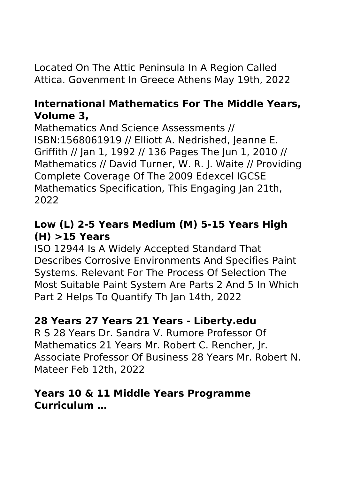Located On The Attic Peninsula In A Region Called Attica. Govenment In Greece Athens May 19th, 2022

#### **International Mathematics For The Middle Years, Volume 3,**

Mathematics And Science Assessments // ISBN:1568061919 // Elliott A. Nedrished, Jeanne E. Griffith // Jan 1, 1992 // 136 Pages The Jun 1, 2010 // Mathematics // David Turner, W. R. J. Waite // Providing Complete Coverage Of The 2009 Edexcel IGCSE Mathematics Specification, This Engaging Jan 21th, 2022

# **Low (L) 2-5 Years Medium (M) 5-15 Years High (H) >15 Years**

ISO 12944 Is A Widely Accepted Standard That Describes Corrosive Environments And Specifies Paint Systems. Relevant For The Process Of Selection The Most Suitable Paint System Are Parts 2 And 5 In Which Part 2 Helps To Quantify Th Jan 14th, 2022

#### **28 Years 27 Years 21 Years - Liberty.edu**

R S 28 Years Dr. Sandra V. Rumore Professor Of Mathematics 21 Years Mr. Robert C. Rencher, Jr. Associate Professor Of Business 28 Years Mr. Robert N. Mateer Feb 12th, 2022

#### **Years 10 & 11 Middle Years Programme Curriculum …**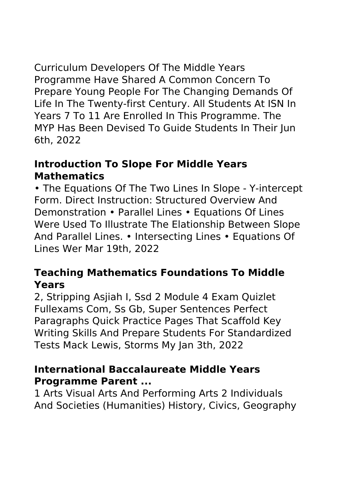Curriculum Developers Of The Middle Years Programme Have Shared A Common Concern To Prepare Young People For The Changing Demands Of Life In The Twenty-first Century. All Students At ISN In Years 7 To 11 Are Enrolled In This Programme. The MYP Has Been Devised To Guide Students In Their Jun 6th, 2022

#### **Introduction To Slope For Middle Years Mathematics**

• The Equations Of The Two Lines In Slope - Y-intercept Form. Direct Instruction: Structured Overview And Demonstration • Parallel Lines • Equations Of Lines Were Used To Illustrate The Elationship Between Slope And Parallel Lines. • Intersecting Lines • Equations Of Lines Wer Mar 19th, 2022

# **Teaching Mathematics Foundations To Middle Years**

2, Stripping Asjiah I, Ssd 2 Module 4 Exam Quizlet Fullexams Com, Ss Gb, Super Sentences Perfect Paragraphs Quick Practice Pages That Scaffold Key Writing Skills And Prepare Students For Standardized Tests Mack Lewis, Storms My Jan 3th, 2022

#### **International Baccalaureate Middle Years Programme Parent ...**

1 Arts Visual Arts And Performing Arts 2 Individuals And Societies (Humanities) History, Civics, Geography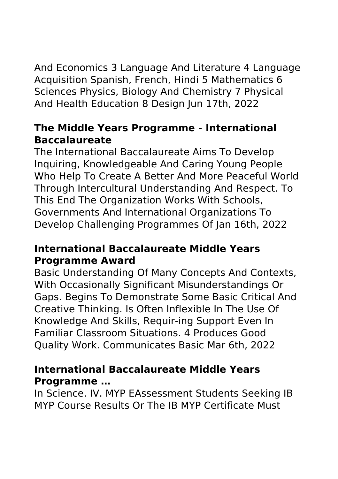And Economics 3 Language And Literature 4 Language Acquisition Spanish, French, Hindi 5 Mathematics 6 Sciences Physics, Biology And Chemistry 7 Physical And Health Education 8 Design Jun 17th, 2022

#### **The Middle Years Programme - International Baccalaureate**

The International Baccalaureate Aims To Develop Inquiring, Knowledgeable And Caring Young People Who Help To Create A Better And More Peaceful World Through Intercultural Understanding And Respect. To This End The Organization Works With Schools, Governments And International Organizations To Develop Challenging Programmes Of Jan 16th, 2022

#### **International Baccalaureate Middle Years Programme Award**

Basic Understanding Of Many Concepts And Contexts, With Occasionally Significant Misunderstandings Or Gaps. Begins To Demonstrate Some Basic Critical And Creative Thinking. Is Often Inflexible In The Use Of Knowledge And Skills, Requir-ing Support Even In Familiar Classroom Situations. 4 Produces Good Quality Work. Communicates Basic Mar 6th, 2022

#### **International Baccalaureate Middle Years Programme …**

In Science. IV. MYP EAssessment Students Seeking IB MYP Course Results Or The IB MYP Certificate Must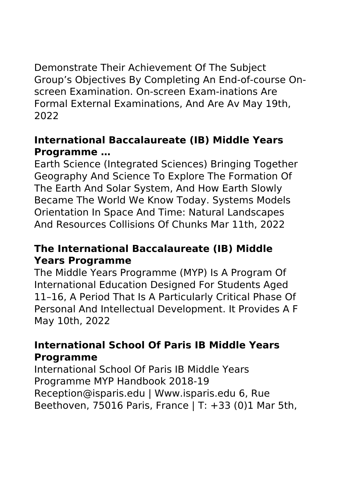Demonstrate Their Achievement Of The Subject Group's Objectives By Completing An End-of-course Onscreen Examination. On-screen Exam-inations Are Formal External Examinations, And Are Av May 19th, 2022

#### **International Baccalaureate (IB) Middle Years Programme …**

Earth Science (Integrated Sciences) Bringing Together Geography And Science To Explore The Formation Of The Earth And Solar System, And How Earth Slowly Became The World We Know Today. Systems Models Orientation In Space And Time: Natural Landscapes And Resources Collisions Of Chunks Mar 11th, 2022

#### **The International Baccalaureate (IB) Middle Years Programme**

The Middle Years Programme (MYP) Is A Program Of International Education Designed For Students Aged 11–16, A Period That Is A Particularly Critical Phase Of Personal And Intellectual Development. It Provides A F May 10th, 2022

#### **International School Of Paris IB Middle Years Programme**

International School Of Paris IB Middle Years Programme MYP Handbook 2018-19 Reception@isparis.edu | Www.isparis.edu 6, Rue Beethoven, 75016 Paris, France | T: +33 (0)1 Mar 5th,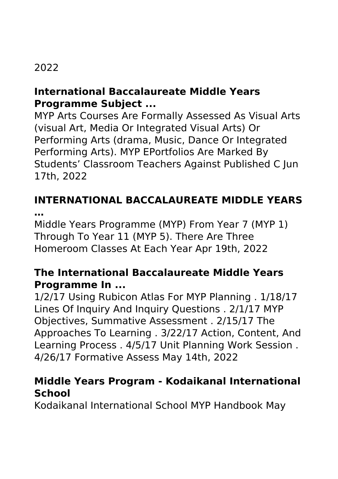# 2022

#### **International Baccalaureate Middle Years Programme Subject ...**

MYP Arts Courses Are Formally Assessed As Visual Arts (visual Art, Media Or Integrated Visual Arts) Or Performing Arts (drama, Music, Dance Or Integrated Performing Arts). MYP EPortfolios Are Marked By Students' Classroom Teachers Against Published C Jun 17th, 2022

#### **INTERNATIONAL BACCALAUREATE MIDDLE YEARS …**

Middle Years Programme (MYP) From Year 7 (MYP 1) Through To Year 11 (MYP 5). There Are Three Homeroom Classes At Each Year Apr 19th, 2022

# **The International Baccalaureate Middle Years Programme In ...**

1/2/17 Using Rubicon Atlas For MYP Planning . 1/18/17 Lines Of Inquiry And Inquiry Questions . 2/1/17 MYP Objectives, Summative Assessment . 2/15/17 The Approaches To Learning . 3/22/17 Action, Content, And Learning Process . 4/5/17 Unit Planning Work Session . 4/26/17 Formative Assess May 14th, 2022

#### **Middle Years Program - Kodaikanal International School**

Kodaikanal International School MYP Handbook May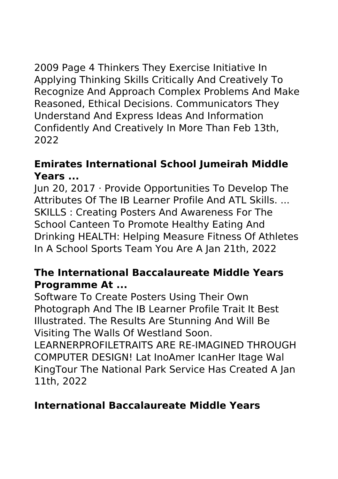2009 Page 4 Thinkers They Exercise Initiative In Applying Thinking Skills Critically And Creatively To Recognize And Approach Complex Problems And Make Reasoned, Ethical Decisions. Communicators They Understand And Express Ideas And Information Confidently And Creatively In More Than Feb 13th, 2022

#### **Emirates International School Jumeirah Middle Years ...**

Jun 20, 2017 · Provide Opportunities To Develop The Attributes Of The IB Learner Profile And ATL Skills. ... SKILLS : Creating Posters And Awareness For The School Canteen To Promote Healthy Eating And Drinking HEALTH: Helping Measure Fitness Of Athletes In A School Sports Team You Are A Jan 21th, 2022

# **The International Baccalaureate Middle Years Programme At ...**

Software To Create Posters Using Their Own Photograph And The IB Learner Profile Trait It Best Illustrated. The Results Are Stunning And Will Be Visiting The Walls Of Westland Soon.

LEARNERPROFILETRAITS ARE RE-IMAGINED THROUGH COMPUTER DESIGN! Lat InoAmer IcanHer Itage Wal KingTour The National Park Service Has Created A Jan 11th, 2022

# **International Baccalaureate Middle Years**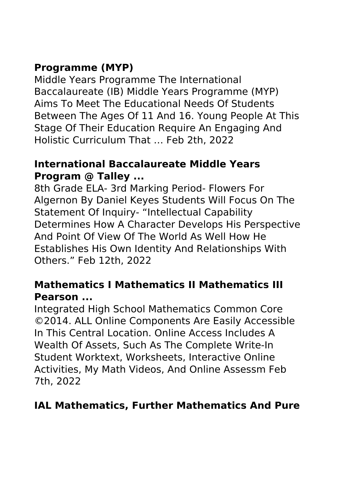# **Programme (MYP)**

Middle Years Programme The International Baccalaureate (IB) Middle Years Programme (MYP) Aims To Meet The Educational Needs Of Students Between The Ages Of 11 And 16. Young People At This Stage Of Their Education Require An Engaging And Holistic Curriculum That … Feb 2th, 2022

#### **International Baccalaureate Middle Years Program @ Talley ...**

8th Grade ELA- 3rd Marking Period- Flowers For Algernon By Daniel Keyes Students Will Focus On The Statement Of Inquiry- "Intellectual Capability Determines How A Character Develops His Perspective And Point Of View Of The World As Well How He Establishes His Own Identity And Relationships With Others." Feb 12th, 2022

#### **Mathematics I Mathematics II Mathematics III Pearson ...**

Integrated High School Mathematics Common Core ©2014. ALL Online Components Are Easily Accessible In This Central Location. Online Access Includes A Wealth Of Assets, Such As The Complete Write-In Student Worktext, Worksheets, Interactive Online Activities, My Math Videos, And Online Assessm Feb 7th, 2022

# **IAL Mathematics, Further Mathematics And Pure**